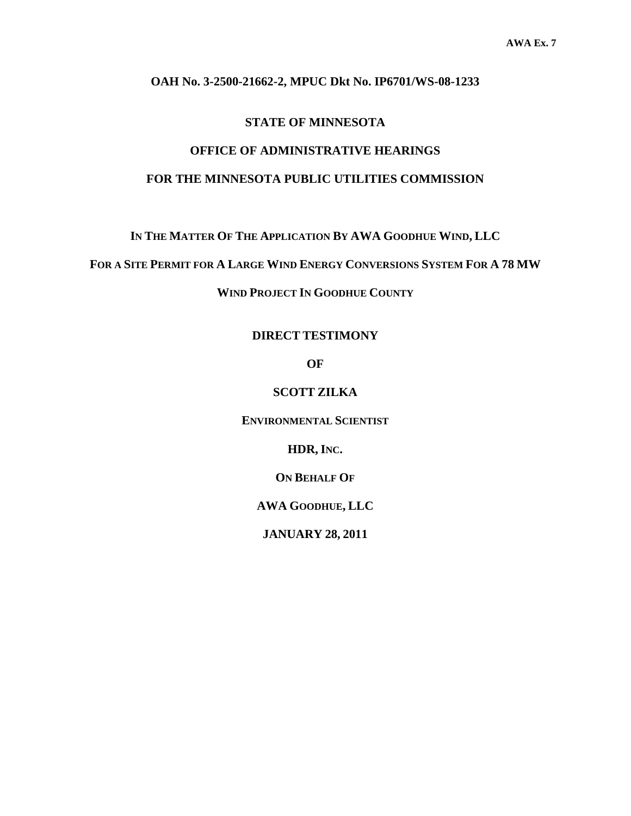#### **OAH No. 3-2500-21662-2, MPUC Dkt No. IP6701/WS-08-1233**

#### **STATE OF MINNESOTA**

# **OFFICE OF ADMINISTRATIVE HEARINGS**

## **FOR THE MINNESOTA PUBLIC UTILITIES COMMISSION**

**IN THE MATTER OF THE APPLICATION BY AWA GOODHUE WIND, LLC** 

**FOR A SITE PERMIT FOR A LARGE WIND ENERGY CONVERSIONS SYSTEM FOR A 78 MW**

**WIND PROJECT IN GOODHUE COUNTY** 

#### **DIRECT TESTIMONY**

**OF** 

**SCOTT ZILKA** 

**ENVIRONMENTAL SCIENTIST**

**HDR, INC.** 

**ON BEHALF OF**

**AWA GOODHUE, LLC** 

**JANUARY 28, 2011**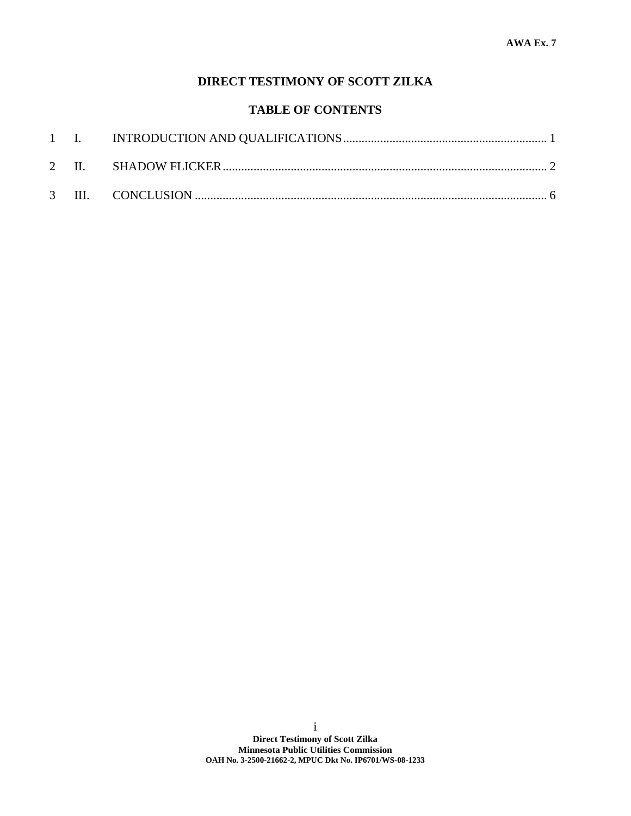# **DIRECT TESTIMONY OF SCOTT ZILKA**

## **TABLE OF CONTENTS**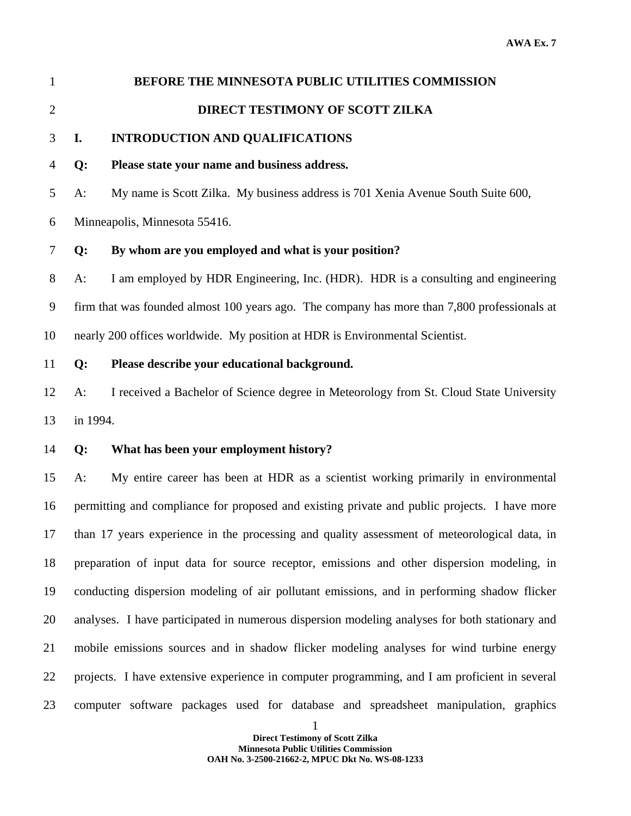# 1 **BEFORE THE MINNESOTA PUBLIC UTILITIES COMMISSION**  2 **DIRECT TESTIMONY OF SCOTT ZILKA**

### 3 **I. INTRODUCTION AND QUALIFICATIONS**

#### 4 **Q: Please state your name and business address.**

5 A: My name is Scott Zilka. My business address is 701 Xenia Avenue South Suite 600,

6 Minneapolis, Minnesota 55416.

#### 7 **Q: By whom are you employed and what is your position?**

8 A: I am employed by HDR Engineering, Inc. (HDR). HDR is a consulting and engineering 9 firm that was founded almost 100 years ago. The company has more than 7,800 professionals at 10 nearly 200 offices worldwide. My position at HDR is Environmental Scientist.

### 11 **Q: Please describe your educational background.**

12 A: I received a Bachelor of Science degree in Meteorology from St. Cloud State University 13 in 1994.

#### 14 **Q: What has been your employment history?**

15 A: My entire career has been at HDR as a scientist working primarily in environmental 16 permitting and compliance for proposed and existing private and public projects. I have more 17 than 17 years experience in the processing and quality assessment of meteorological data, in 18 preparation of input data for source receptor, emissions and other dispersion modeling, in 19 conducting dispersion modeling of air pollutant emissions, and in performing shadow flicker 20 analyses. I have participated in numerous dispersion modeling analyses for both stationary and 21 mobile emissions sources and in shadow flicker modeling analyses for wind turbine energy 22 projects. I have extensive experience in computer programming, and I am proficient in several 23 computer software packages used for database and spreadsheet manipulation, graphics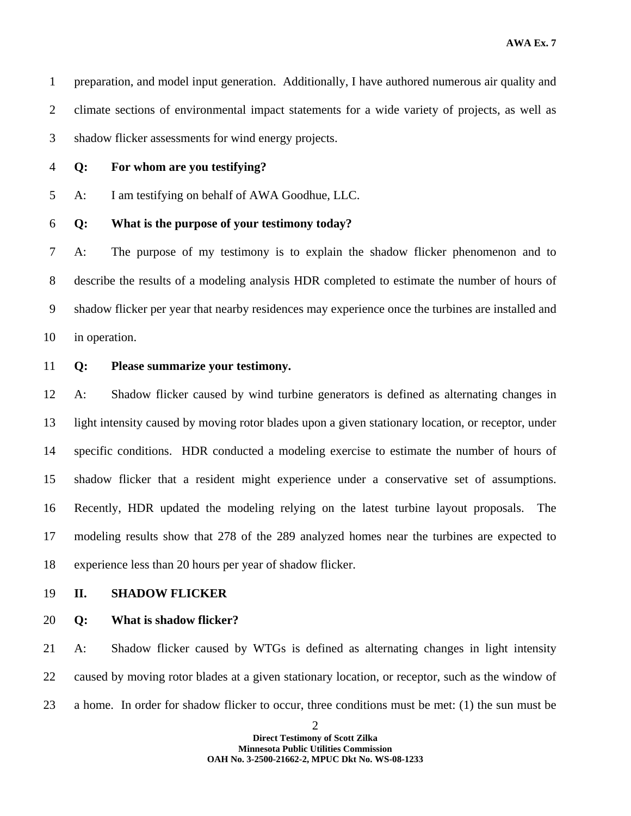1 preparation, and model input generation. Additionally, I have authored numerous air quality and 2 climate sections of environmental impact statements for a wide variety of projects, as well as 3 shadow flicker assessments for wind energy projects.

4 **Q: For whom are you testifying?** 

5 A: I am testifying on behalf of AWA Goodhue, LLC.

#### 6 **Q: What is the purpose of your testimony today?**

7 A: The purpose of my testimony is to explain the shadow flicker phenomenon and to 8 describe the results of a modeling analysis HDR completed to estimate the number of hours of 9 shadow flicker per year that nearby residences may experience once the turbines are installed and 10 in operation.

11 **Q: Please summarize your testimony.** 

12 A: Shadow flicker caused by wind turbine generators is defined as alternating changes in 13 light intensity caused by moving rotor blades upon a given stationary location, or receptor, under 14 specific conditions. HDR conducted a modeling exercise to estimate the number of hours of 15 shadow flicker that a resident might experience under a conservative set of assumptions. 16 Recently, HDR updated the modeling relying on the latest turbine layout proposals. The 17 modeling results show that 278 of the 289 analyzed homes near the turbines are expected to 18 experience less than 20 hours per year of shadow flicker.

- 19 **II. SHADOW FLICKER**
- 20 **Q: What is shadow flicker?**

21 A: Shadow flicker caused by WTGs is defined as alternating changes in light intensity 22 caused by moving rotor blades at a given stationary location, or receptor, such as the window of 23 a home. In order for shadow flicker to occur, three conditions must be met: (1) the sun must be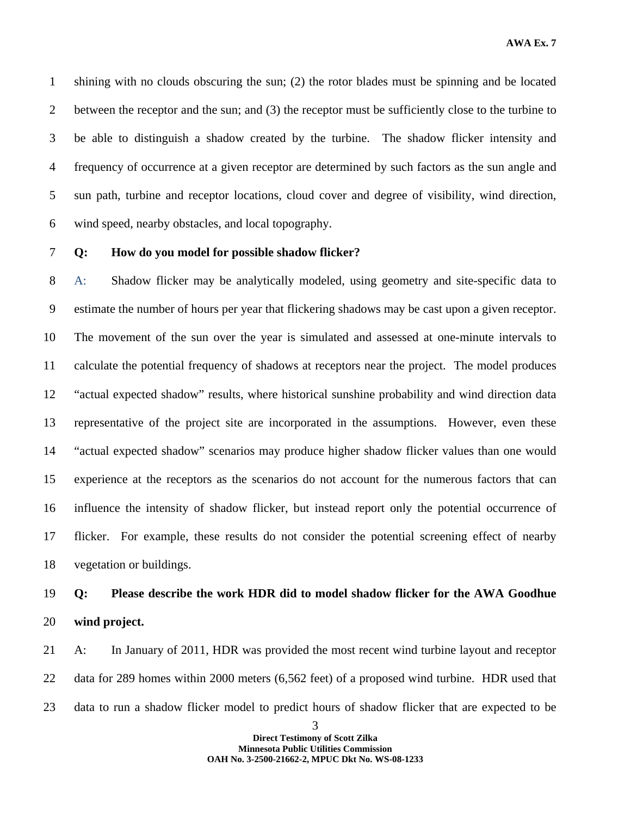1 shining with no clouds obscuring the sun; (2) the rotor blades must be spinning and be located 2 between the receptor and the sun; and (3) the receptor must be sufficiently close to the turbine to 3 be able to distinguish a shadow created by the turbine. The shadow flicker intensity and 4 frequency of occurrence at a given receptor are determined by such factors as the sun angle and 5 sun path, turbine and receptor locations, cloud cover and degree of visibility, wind direction, 6 wind speed, nearby obstacles, and local topography.

#### 7 **Q: How do you model for possible shadow flicker?**

8 A: Shadow flicker may be analytically modeled, using geometry and site-specific data to 9 estimate the number of hours per year that flickering shadows may be cast upon a given receptor. 10 The movement of the sun over the year is simulated and assessed at one-minute intervals to 11 calculate the potential frequency of shadows at receptors near the project. The model produces 12 "actual expected shadow" results, where historical sunshine probability and wind direction data 13 representative of the project site are incorporated in the assumptions. However, even these 14 "actual expected shadow" scenarios may produce higher shadow flicker values than one would 15 experience at the receptors as the scenarios do not account for the numerous factors that can 16 influence the intensity of shadow flicker, but instead report only the potential occurrence of 17 flicker. For example, these results do not consider the potential screening effect of nearby 18 vegetation or buildings.

# 19 **Q: Please describe the work HDR did to model shadow flicker for the AWA Goodhue**  20 **wind project.**

21 A: In January of 2011, HDR was provided the most recent wind turbine layout and receptor 22 data for 289 homes within 2000 meters (6,562 feet) of a proposed wind turbine. HDR used that 23 data to run a shadow flicker model to predict hours of shadow flicker that are expected to be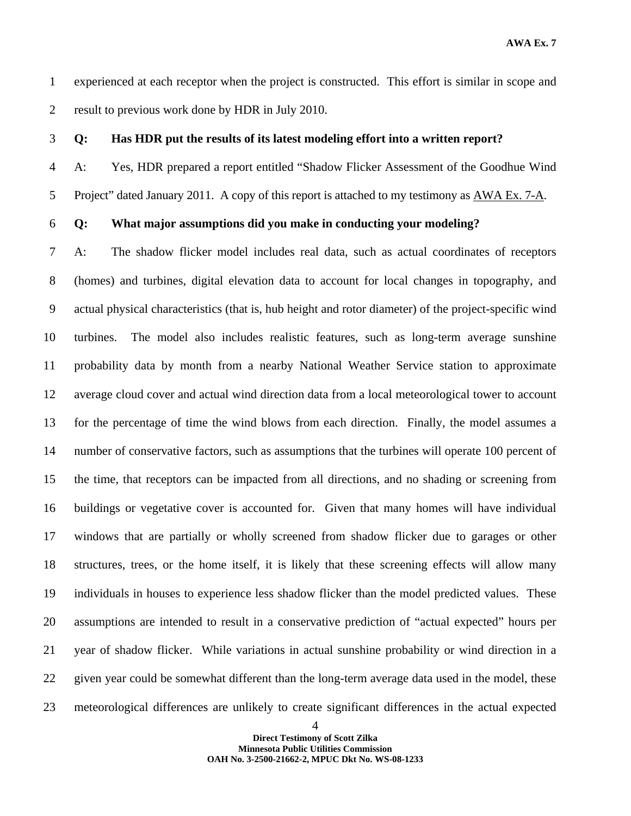**AWA Ex. 7** 

1 experienced at each receptor when the project is constructed. This effort is similar in scope and 2 result to previous work done by HDR in July 2010.

#### 3 **Q: Has HDR put the results of its latest modeling effort into a written report?**

4 A: Yes, HDR prepared a report entitled "Shadow Flicker Assessment of the Goodhue Wind 5 Project" dated January 2011. A copy of this report is attached to my testimony as AWA Ex. 7-A.

#### 6 **Q: What major assumptions did you make in conducting your modeling?**

7 A: The shadow flicker model includes real data, such as actual coordinates of receptors 8 (homes) and turbines, digital elevation data to account for local changes in topography, and 9 actual physical characteristics (that is, hub height and rotor diameter) of the project-specific wind 10 turbines. The model also includes realistic features, such as long-term average sunshine 11 probability data by month from a nearby National Weather Service station to approximate 12 average cloud cover and actual wind direction data from a local meteorological tower to account 13 for the percentage of time the wind blows from each direction. Finally, the model assumes a 14 number of conservative factors, such as assumptions that the turbines will operate 100 percent of 15 the time, that receptors can be impacted from all directions, and no shading or screening from 16 buildings or vegetative cover is accounted for. Given that many homes will have individual 17 windows that are partially or wholly screened from shadow flicker due to garages or other 18 structures, trees, or the home itself, it is likely that these screening effects will allow many 19 individuals in houses to experience less shadow flicker than the model predicted values. These 20 assumptions are intended to result in a conservative prediction of "actual expected" hours per 21 year of shadow flicker. While variations in actual sunshine probability or wind direction in a 22 given year could be somewhat different than the long-term average data used in the model, these 23 meteorological differences are unlikely to create significant differences in the actual expected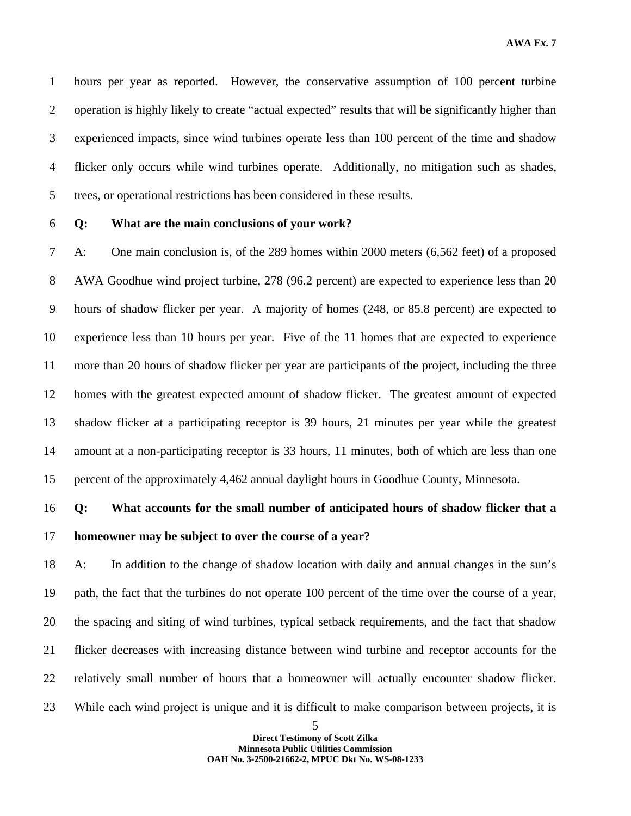1 hours per year as reported. However, the conservative assumption of 100 percent turbine 2 operation is highly likely to create "actual expected" results that will be significantly higher than 3 experienced impacts, since wind turbines operate less than 100 percent of the time and shadow 4 flicker only occurs while wind turbines operate. Additionally, no mitigation such as shades, 5 trees, or operational restrictions has been considered in these results.

#### 6 **Q: What are the main conclusions of your work?**

7 A: One main conclusion is, of the 289 homes within 2000 meters (6,562 feet) of a proposed 8 AWA Goodhue wind project turbine, 278 (96.2 percent) are expected to experience less than 20 9 hours of shadow flicker per year. A majority of homes (248, or 85.8 percent) are expected to 10 experience less than 10 hours per year. Five of the 11 homes that are expected to experience 11 more than 20 hours of shadow flicker per year are participants of the project, including the three 12 homes with the greatest expected amount of shadow flicker. The greatest amount of expected 13 shadow flicker at a participating receptor is 39 hours, 21 minutes per year while the greatest 14 amount at a non-participating receptor is 33 hours, 11 minutes, both of which are less than one 15 percent of the approximately 4,462 annual daylight hours in Goodhue County, Minnesota.

# 16 **Q: What accounts for the small number of anticipated hours of shadow flicker that a**  17 **homeowner may be subject to over the course of a year?**

18 A: In addition to the change of shadow location with daily and annual changes in the sun's 19 path, the fact that the turbines do not operate 100 percent of the time over the course of a year, 20 the spacing and siting of wind turbines, typical setback requirements, and the fact that shadow 21 flicker decreases with increasing distance between wind turbine and receptor accounts for the 22 relatively small number of hours that a homeowner will actually encounter shadow flicker. 23 While each wind project is unique and it is difficult to make comparison between projects, it is